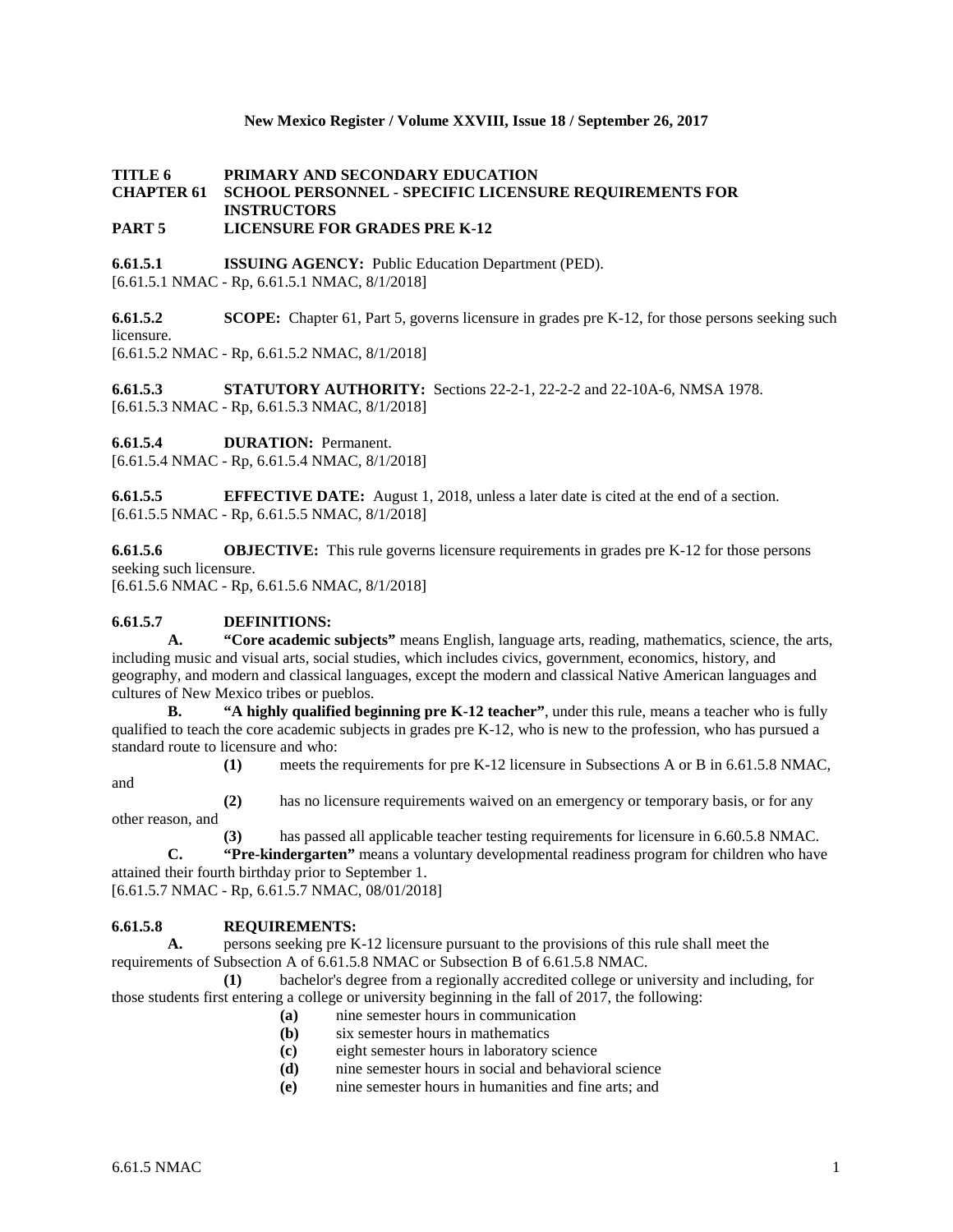#### **New Mexico Register / Volume XXVIII, Issue 18 / September 26, 2017**

#### **TITLE 6 PRIMARY AND SECONDARY EDUCATION CHAPTER 61 SCHOOL PERSONNEL - SPECIFIC LICENSURE REQUIREMENTS FOR INSTRUCTORS PART 5 LICENSURE FOR GRADES PRE K-12**

**6.61.5.1 ISSUING AGENCY:** Public Education Department (PED). [6.61.5.1 NMAC - Rp, 6.61.5.1 NMAC, 8/1/2018]

**6.61.5.2 SCOPE:** Chapter 61, Part 5, governs licensure in grades pre K-12, for those persons seeking such licensure. [6.61.5.2 NMAC - Rp, 6.61.5.2 NMAC, 8/1/2018]

**6.61.5.3 STATUTORY AUTHORITY:** Sections 22-2-1, 22-2-2 and 22-10A-6, NMSA 1978. [6.61.5.3 NMAC - Rp, 6.61.5.3 NMAC, 8/1/2018]

**6.61.5.4 DURATION:** Permanent.

[6.61.5.4 NMAC - Rp, 6.61.5.4 NMAC, 8/1/2018]

**6.61.5.5 EFFECTIVE DATE:** August 1, 2018, unless a later date is cited at the end of a section. [6.61.5.5 NMAC - Rp, 6.61.5.5 NMAC, 8/1/2018]

**6.61.5.6 OBJECTIVE:** This rule governs licensure requirements in grades pre K-12 for those persons seeking such licensure.

[6.61.5.6 NMAC - Rp, 6.61.5.6 NMAC, 8/1/2018]

#### **6.61.5.7 DEFINITIONS:**

**A. "Core academic subjects"** means English, language arts, reading, mathematics, science, the arts, including music and visual arts, social studies, which includes civics, government, economics, history, and geography, and modern and classical languages, except the modern and classical Native American languages and cultures of New Mexico tribes or pueblos.

**B. "A highly qualified beginning pre K-12 teacher"**, under this rule, means a teacher who is fully qualified to teach the core academic subjects in grades pre K-12, who is new to the profession, who has pursued a standard route to licensure and who:

and

**(1)** meets the requirements for pre K-12 licensure in Subsections A or B in 6.61.5.8 NMAC,

**(2)** has no licensure requirements waived on an emergency or temporary basis, or for any other reason, and

**(3)** has passed all applicable teacher testing requirements for licensure in 6.60.5.8 NMAC.

**C. "Pre-kindergarten"** means a voluntary developmental readiness program for children who have attained their fourth birthday prior to September 1.

[6.61.5.7 NMAC - Rp, 6.61.5.7 NMAC, 08/01/2018]

## **6.61.5.8 REQUIREMENTS:**

**A.** persons seeking pre K-12 licensure pursuant to the provisions of this rule shall meet the requirements of Subsection A of 6.61.5.8 NMAC or Subsection B of 6.61.5.8 NMAC.

**(1)** bachelor's degree from a regionally accredited college or university and including, for those students first entering a college or university beginning in the fall of 2017, the following:

- **(a)** nine semester hours in communication
- **(b)** six semester hours in mathematics
- **(c)** eight semester hours in laboratory science
- **(d)** nine semester hours in social and behavioral science
- **(e)** nine semester hours in humanities and fine arts; and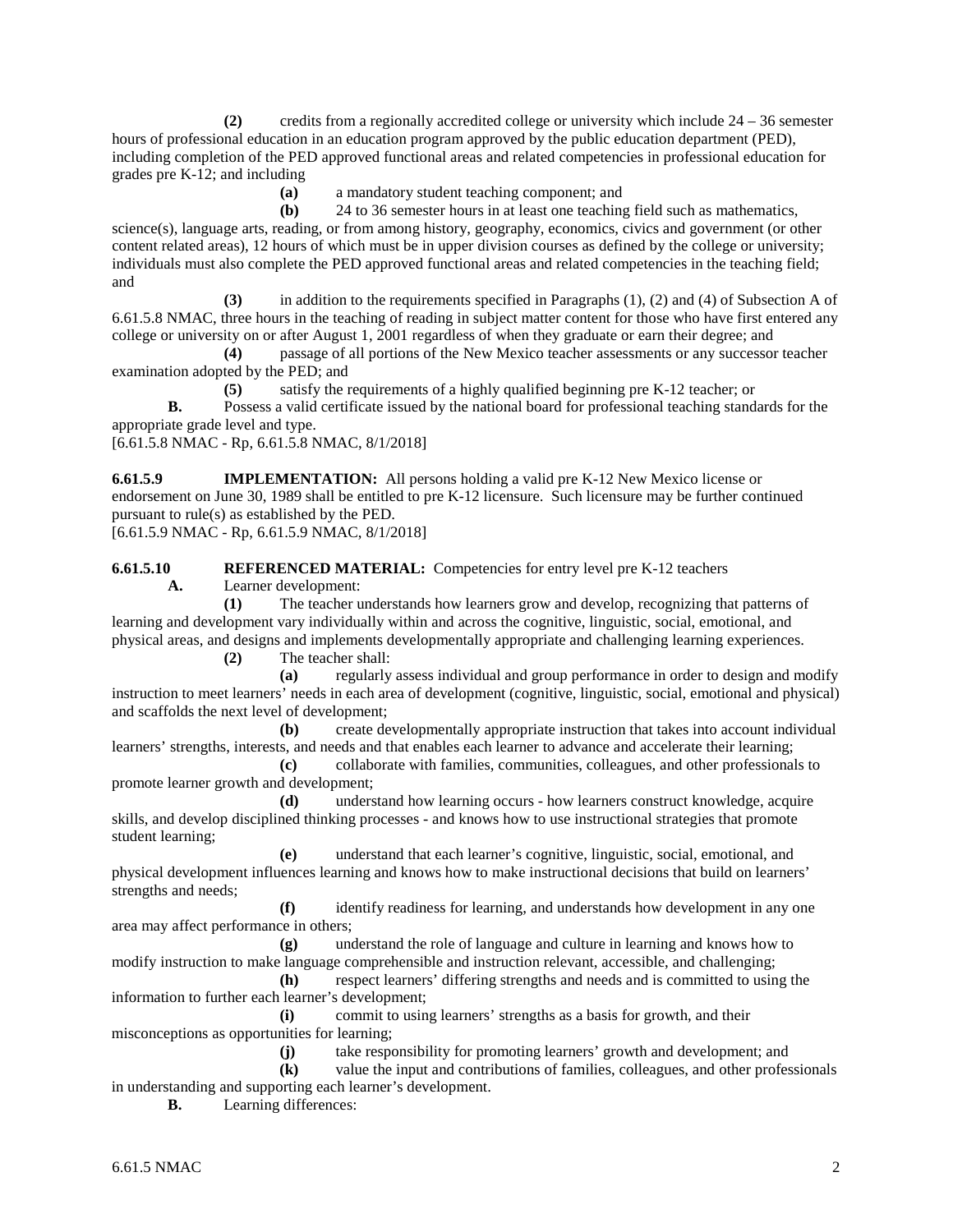**(2)** credits from a regionally accredited college or university which include 24 – 36 semester hours of professional education in an education program approved by the public education department (PED), including completion of the PED approved functional areas and related competencies in professional education for grades pre K-12; and including

**(a)** a mandatory student teaching component; and

**(b)** 24 to 36 semester hours in at least one teaching field such as mathematics, science(s), language arts, reading, or from among history, geography, economics, civics and government (or other content related areas), 12 hours of which must be in upper division courses as defined by the college or university; individuals must also complete the PED approved functional areas and related competencies in the teaching field; and

**(3)** in addition to the requirements specified in Paragraphs (1), (2) and (4) of Subsection A of 6.61.5.8 NMAC, three hours in the teaching of reading in subject matter content for those who have first entered any college or university on or after August 1, 2001 regardless of when they graduate or earn their degree; and

**(4)** passage of all portions of the New Mexico teacher assessments or any successor teacher examination adopted by the PED; and

**(5)** satisfy the requirements of a highly qualified beginning pre K-12 teacher; or

**B.** Possess a valid certificate issued by the national board for professional teaching standards for the appropriate grade level and type.

[6.61.5.8 NMAC - Rp, 6.61.5.8 NMAC, 8/1/2018]

**6.61.5.9 IMPLEMENTATION:** All persons holding a valid pre K-12 New Mexico license or endorsement on June 30, 1989 shall be entitled to pre K-12 licensure. Such licensure may be further continued pursuant to rule(s) as established by the PED.

[6.61.5.9 NMAC - Rp, 6.61.5.9 NMAC, 8/1/2018]

**6.61.5.10 REFERENCED MATERIAL:** Competencies for entry level pre K-12 teachers

**A.** Learner development:

**(1)** The teacher understands how learners grow and develop, recognizing that patterns of learning and development vary individually within and across the cognitive, linguistic, social, emotional, and physical areas, and designs and implements developmentally appropriate and challenging learning experiences.

**(2)** The teacher shall:

**(a)** regularly assess individual and group performance in order to design and modify instruction to meet learners' needs in each area of development (cognitive, linguistic, social, emotional and physical) and scaffolds the next level of development;

**(b)** create developmentally appropriate instruction that takes into account individual learners' strengths, interests, and needs and that enables each learner to advance and accelerate their learning;

**(c)** collaborate with families, communities, colleagues, and other professionals to promote learner growth and development;

**(d)** understand how learning occurs - how learners construct knowledge, acquire skills, and develop disciplined thinking processes - and knows how to use instructional strategies that promote student learning;

**(e)** understand that each learner's cognitive, linguistic, social, emotional, and physical development influences learning and knows how to make instructional decisions that build on learners' strengths and needs;

**(f)** identify readiness for learning, and understands how development in any one area may affect performance in others;

**(g)** understand the role of language and culture in learning and knows how to modify instruction to make language comprehensible and instruction relevant, accessible, and challenging;

**(h)** respect learners' differing strengths and needs and is committed to using the information to further each learner's development;

**(i)** commit to using learners' strengths as a basis for growth, and their misconceptions as opportunities for learning;

**(j)** take responsibility for promoting learners' growth and development; and

**(k)** value the input and contributions of families, colleagues, and other professionals in understanding and supporting each learner's development.

**B.** Learning differences: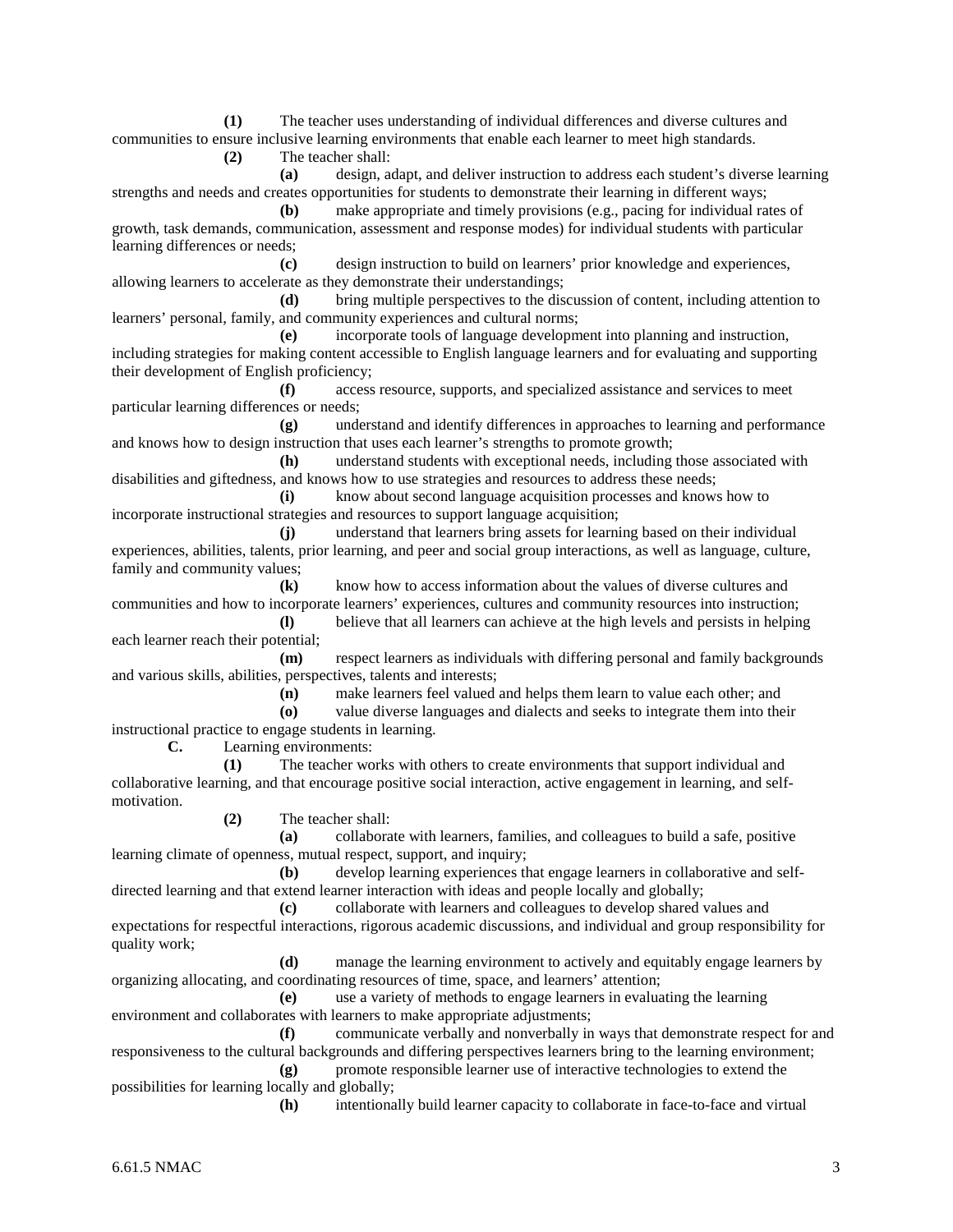**(1)** The teacher uses understanding of individual differences and diverse cultures and communities to ensure inclusive learning environments that enable each learner to meet high standards.

**(2)** The teacher shall:

**(a)** design, adapt, and deliver instruction to address each student's diverse learning strengths and needs and creates opportunities for students to demonstrate their learning in different ways;

**(b)** make appropriate and timely provisions (e.g., pacing for individual rates of growth, task demands, communication, assessment and response modes) for individual students with particular learning differences or needs;

**(c)** design instruction to build on learners' prior knowledge and experiences, allowing learners to accelerate as they demonstrate their understandings;

**(d)** bring multiple perspectives to the discussion of content, including attention to learners' personal, family, and community experiences and cultural norms;

**(e)** incorporate tools of language development into planning and instruction, including strategies for making content accessible to English language learners and for evaluating and supporting their development of English proficiency;

**(f)** access resource, supports, and specialized assistance and services to meet particular learning differences or needs;

**(g)** understand and identify differences in approaches to learning and performance and knows how to design instruction that uses each learner's strengths to promote growth;

**(h)** understand students with exceptional needs, including those associated with disabilities and giftedness, and knows how to use strategies and resources to address these needs;

**(i)** know about second language acquisition processes and knows how to incorporate instructional strategies and resources to support language acquisition;

**(j)** understand that learners bring assets for learning based on their individual experiences, abilities, talents, prior learning, and peer and social group interactions, as well as language, culture, family and community values;

**(k)** know how to access information about the values of diverse cultures and communities and how to incorporate learners' experiences, cultures and community resources into instruction;

**(l)** believe that all learners can achieve at the high levels and persists in helping each learner reach their potential;

**(m)** respect learners as individuals with differing personal and family backgrounds and various skills, abilities, perspectives, talents and interests;

**(n)** make learners feel valued and helps them learn to value each other; and

**(o)** value diverse languages and dialects and seeks to integrate them into their instructional practice to engage students in learning.

**C.** Learning environments:

**(1)** The teacher works with others to create environments that support individual and collaborative learning, and that encourage positive social interaction, active engagement in learning, and selfmotivation.

**(2)** The teacher shall:

**(a)** collaborate with learners, families, and colleagues to build a safe, positive learning climate of openness, mutual respect, support, and inquiry;

**(b)** develop learning experiences that engage learners in collaborative and selfdirected learning and that extend learner interaction with ideas and people locally and globally;

**(c)** collaborate with learners and colleagues to develop shared values and expectations for respectful interactions, rigorous academic discussions, and individual and group responsibility for quality work;

**(d)** manage the learning environment to actively and equitably engage learners by organizing allocating, and coordinating resources of time, space, and learners' attention;

**(e)** use a variety of methods to engage learners in evaluating the learning environment and collaborates with learners to make appropriate adjustments;

**(f)** communicate verbally and nonverbally in ways that demonstrate respect for and responsiveness to the cultural backgrounds and differing perspectives learners bring to the learning environment;

**(g)** promote responsible learner use of interactive technologies to extend the possibilities for learning locally and globally;

**(h)** intentionally build learner capacity to collaborate in face-to-face and virtual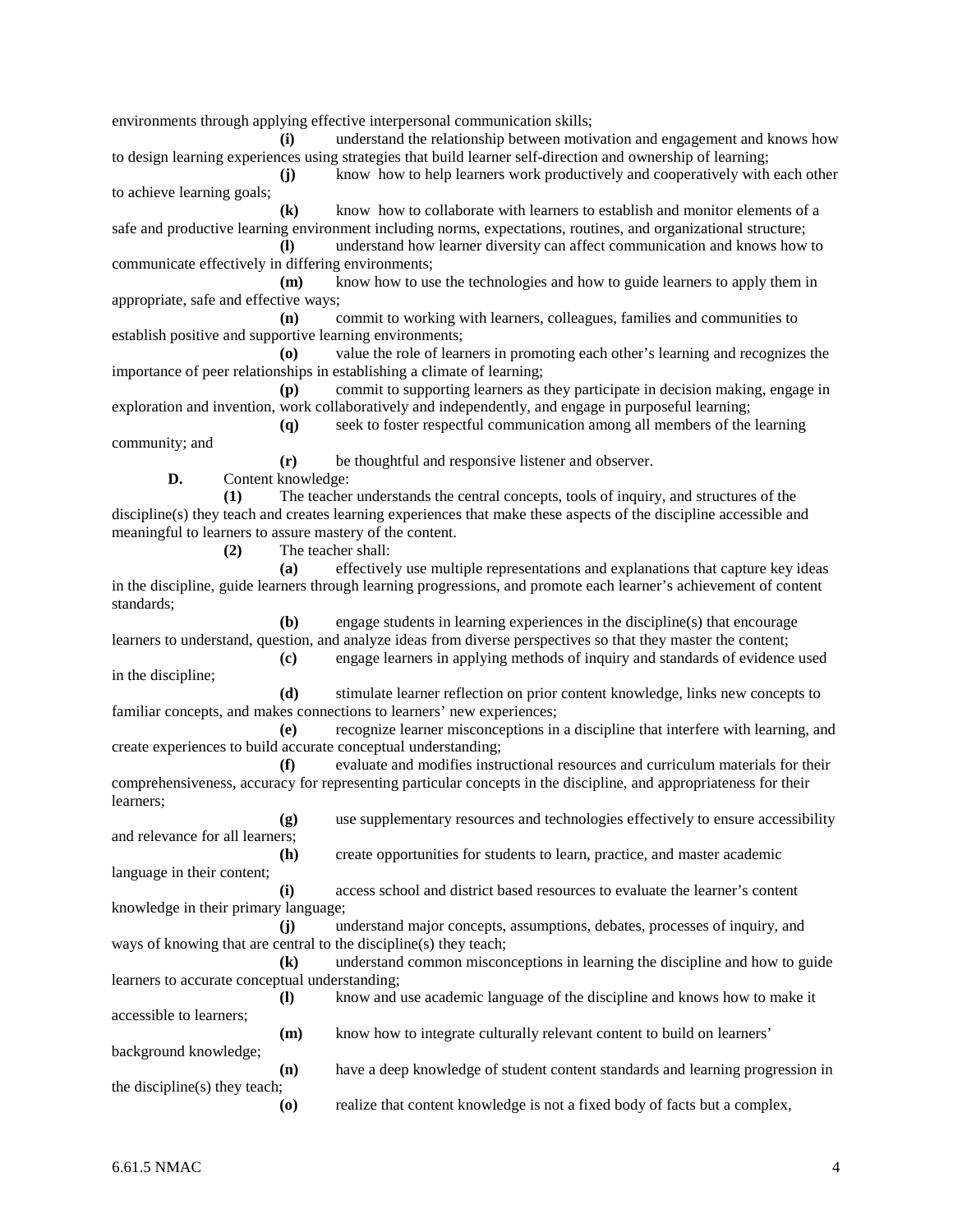environments through applying effective interpersonal communication skills;

**(i)** understand the relationship between motivation and engagement and knows how to design learning experiences using strategies that build learner self-direction and ownership of learning;

**(j)** know how to help learners work productively and cooperatively with each other to achieve learning goals;

**(k)** know how to collaborate with learners to establish and monitor elements of a safe and productive learning environment including norms, expectations, routines, and organizational structure;

**(l)** understand how learner diversity can affect communication and knows how to communicate effectively in differing environments;

**(m)** know how to use the technologies and how to guide learners to apply them in appropriate, safe and effective ways;

**(n)** commit to working with learners, colleagues, families and communities to establish positive and supportive learning environments;

**(o)** value the role of learners in promoting each other's learning and recognizes the importance of peer relationships in establishing a climate of learning;

**(p)** commit to supporting learners as they participate in decision making, engage in exploration and invention, work collaboratively and independently, and engage in purposeful learning;

**(q)** seek to foster respectful communication among all members of the learning community; and

**(r)** be thoughtful and responsive listener and observer.

**D.** Content knowledge:

**(1)** The teacher understands the central concepts, tools of inquiry, and structures of the discipline(s) they teach and creates learning experiences that make these aspects of the discipline accessible and meaningful to learners to assure mastery of the content.

**(2)** The teacher shall:

**(a)** effectively use multiple representations and explanations that capture key ideas in the discipline, guide learners through learning progressions, and promote each learner's achievement of content standards;

**(b)** engage students in learning experiences in the discipline(s) that encourage learners to understand, question, and analyze ideas from diverse perspectives so that they master the content; **(c)** engage learners in applying methods of inquiry and standards of evidence used

in the discipline; **(d)** stimulate learner reflection on prior content knowledge, links new concepts to familiar concepts, and makes connections to learners' new experiences;

**(e)** recognize learner misconceptions in a discipline that interfere with learning, and create experiences to build accurate conceptual understanding;

**(f)** evaluate and modifies instructional resources and curriculum materials for their comprehensiveness, accuracy for representing particular concepts in the discipline, and appropriateness for their learners;

**(g)** use supplementary resources and technologies effectively to ensure accessibility and relevance for all learners;

**(h)** create opportunities for students to learn, practice, and master academic language in their content;

**(i)** access school and district based resources to evaluate the learner's content knowledge in their primary language;

**(j)** understand major concepts, assumptions, debates, processes of inquiry, and ways of knowing that are central to the discipline(s) they teach;

**(k)** understand common misconceptions in learning the discipline and how to guide learners to accurate conceptual understanding;

- **(l)** know and use academic language of the discipline and knows how to make it accessible to learners;
- **(m)** know how to integrate culturally relevant content to build on learners' background knowledge;

**(n)** have a deep knowledge of student content standards and learning progression in the discipline(s) they teach;

**(o)** realize that content knowledge is not a fixed body of facts but a complex,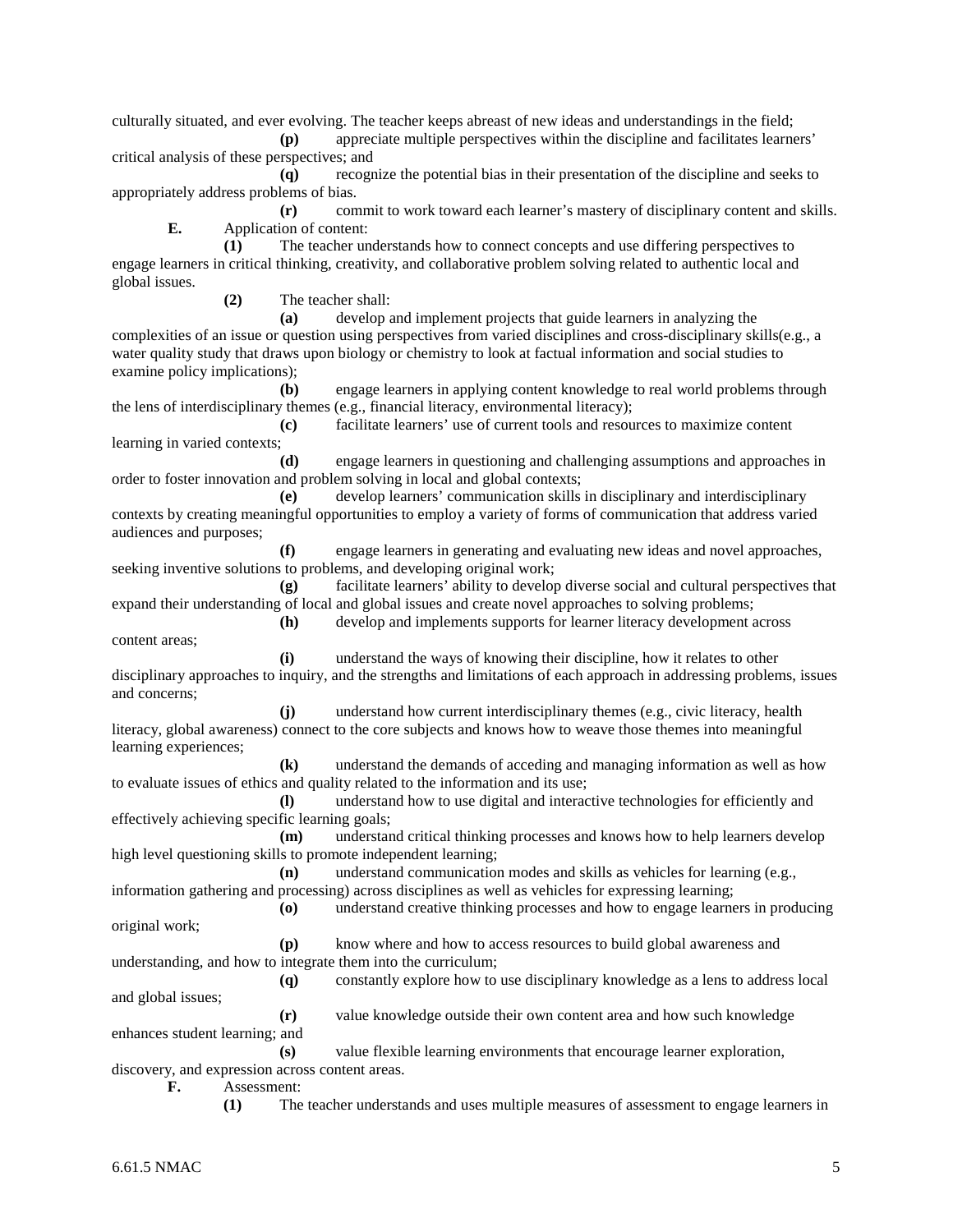culturally situated, and ever evolving. The teacher keeps abreast of new ideas and understandings in the field;

**(p)** appreciate multiple perspectives within the discipline and facilitates learners' critical analysis of these perspectives; and

**(q)** recognize the potential bias in their presentation of the discipline and seeks to appropriately address problems of bias.

**(r)** commit to work toward each learner's mastery of disciplinary content and skills. **E.** Application of content:

**(1)** The teacher understands how to connect concepts and use differing perspectives to engage learners in critical thinking, creativity, and collaborative problem solving related to authentic local and global issues.

**(2)** The teacher shall:

**(a)** develop and implement projects that guide learners in analyzing the complexities of an issue or question using perspectives from varied disciplines and cross-disciplinary skills(e.g., a water quality study that draws upon biology or chemistry to look at factual information and social studies to examine policy implications);

**(b)** engage learners in applying content knowledge to real world problems through the lens of interdisciplinary themes (e.g., financial literacy, environmental literacy);

**(c)** facilitate learners' use of current tools and resources to maximize content learning in varied contexts;

**(d)** engage learners in questioning and challenging assumptions and approaches in order to foster innovation and problem solving in local and global contexts;

**(e)** develop learners' communication skills in disciplinary and interdisciplinary contexts by creating meaningful opportunities to employ a variety of forms of communication that address varied audiences and purposes;

**(f)** engage learners in generating and evaluating new ideas and novel approaches, seeking inventive solutions to problems, and developing original work;

**(g)** facilitate learners' ability to develop diverse social and cultural perspectives that expand their understanding of local and global issues and create novel approaches to solving problems;

**(h)** develop and implements supports for learner literacy development across content areas;

**(i)** understand the ways of knowing their discipline, how it relates to other disciplinary approaches to inquiry, and the strengths and limitations of each approach in addressing problems, issues and concerns;

**(j)** understand how current interdisciplinary themes (e.g., civic literacy, health literacy, global awareness) connect to the core subjects and knows how to weave those themes into meaningful learning experiences;

**(k)** understand the demands of acceding and managing information as well as how to evaluate issues of ethics and quality related to the information and its use;

**(l)** understand how to use digital and interactive technologies for efficiently and effectively achieving specific learning goals;

**(m)** understand critical thinking processes and knows how to help learners develop high level questioning skills to promote independent learning;

**(n)** understand communication modes and skills as vehicles for learning (e.g., information gathering and processing) across disciplines as well as vehicles for expressing learning;

**(o)** understand creative thinking processes and how to engage learners in producing original work;

**(p)** know where and how to access resources to build global awareness and understanding, and how to integrate them into the curriculum;

**(q)** constantly explore how to use disciplinary knowledge as a lens to address local and global issues;

**(r)** value knowledge outside their own content area and how such knowledge enhances student learning; and

**(s)** value flexible learning environments that encourage learner exploration, discovery, and expression across content areas.

**F.** Assessment:

**(1)** The teacher understands and uses multiple measures of assessment to engage learners in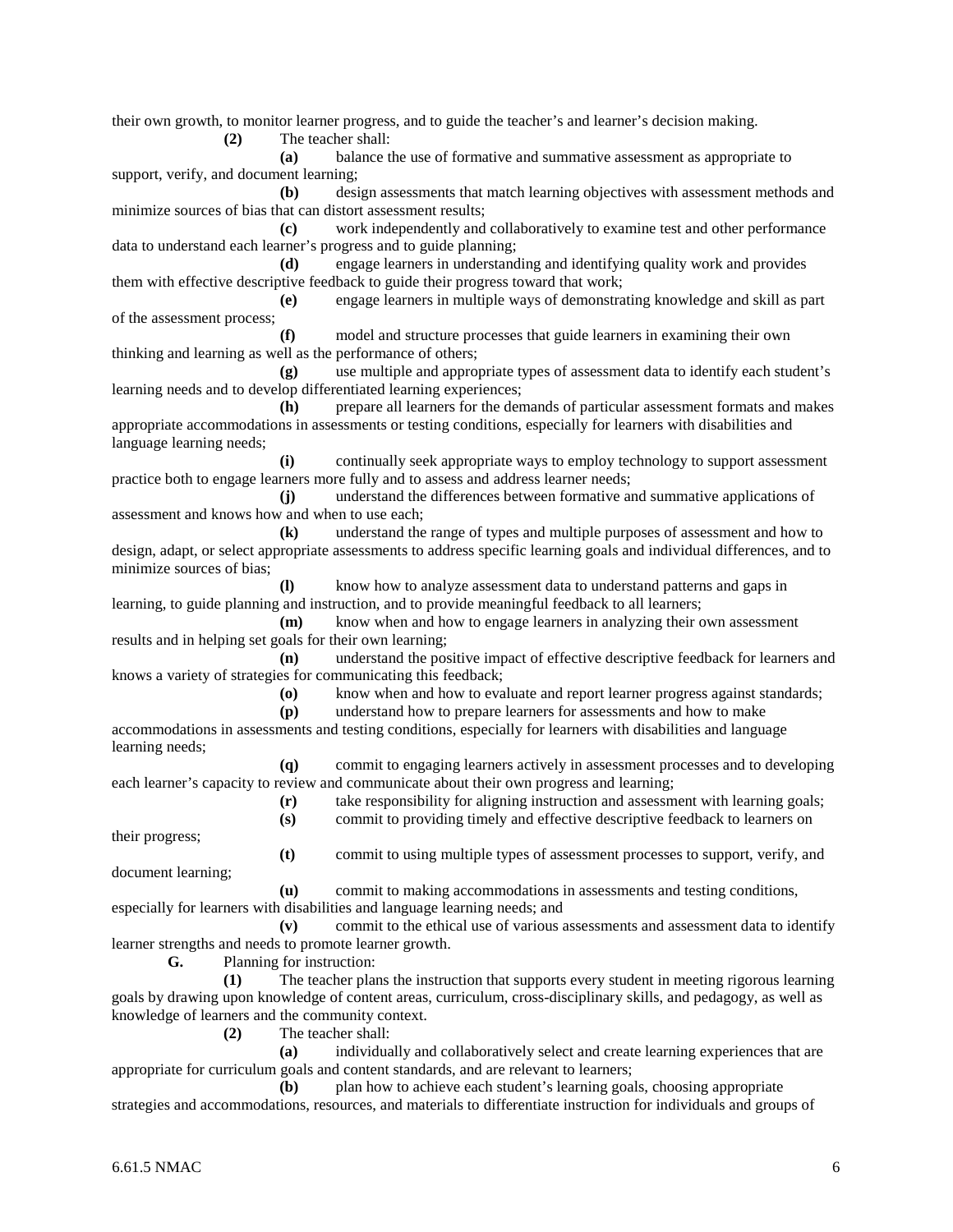their own growth, to monitor learner progress, and to guide the teacher's and learner's decision making.

**(2)** The teacher shall:

**(a)** balance the use of formative and summative assessment as appropriate to support, verify, and document learning;

**(b)** design assessments that match learning objectives with assessment methods and minimize sources of bias that can distort assessment results;

**(c)** work independently and collaboratively to examine test and other performance data to understand each learner's progress and to guide planning;

**(d)** engage learners in understanding and identifying quality work and provides them with effective descriptive feedback to guide their progress toward that work;

**(e)** engage learners in multiple ways of demonstrating knowledge and skill as part of the assessment process;

**(f)** model and structure processes that guide learners in examining their own thinking and learning as well as the performance of others;

**(g)** use multiple and appropriate types of assessment data to identify each student's learning needs and to develop differentiated learning experiences;

**(h)** prepare all learners for the demands of particular assessment formats and makes appropriate accommodations in assessments or testing conditions, especially for learners with disabilities and language learning needs;

**(i)** continually seek appropriate ways to employ technology to support assessment practice both to engage learners more fully and to assess and address learner needs;

**(j)** understand the differences between formative and summative applications of assessment and knows how and when to use each;

**(k)** understand the range of types and multiple purposes of assessment and how to design, adapt, or select appropriate assessments to address specific learning goals and individual differences, and to minimize sources of bias;

**(l)** know how to analyze assessment data to understand patterns and gaps in learning, to guide planning and instruction, and to provide meaningful feedback to all learners;

**(m)** know when and how to engage learners in analyzing their own assessment results and in helping set goals for their own learning;

**(n)** understand the positive impact of effective descriptive feedback for learners and knows a variety of strategies for communicating this feedback;

**(o)** know when and how to evaluate and report learner progress against standards;

**(p)** understand how to prepare learners for assessments and how to make accommodations in assessments and testing conditions, especially for learners with disabilities and language learning needs;

**(q)** commit to engaging learners actively in assessment processes and to developing each learner's capacity to review and communicate about their own progress and learning;

> **(r)** take responsibility for aligning instruction and assessment with learning goals; **(s)** commit to providing timely and effective descriptive feedback to learners on

their progress;

**(t)** commit to using multiple types of assessment processes to support, verify, and document learning;

**(u)** commit to making accommodations in assessments and testing conditions, especially for learners with disabilities and language learning needs; and

**(v)** commit to the ethical use of various assessments and assessment data to identify learner strengths and needs to promote learner growth.

**G.** Planning for instruction:

**(1)** The teacher plans the instruction that supports every student in meeting rigorous learning goals by drawing upon knowledge of content areas, curriculum, cross-disciplinary skills, and pedagogy, as well as knowledge of learners and the community context.

**(2)** The teacher shall:

**(a)** individually and collaboratively select and create learning experiences that are appropriate for curriculum goals and content standards, and are relevant to learners;

**(b)** plan how to achieve each student's learning goals, choosing appropriate strategies and accommodations, resources, and materials to differentiate instruction for individuals and groups of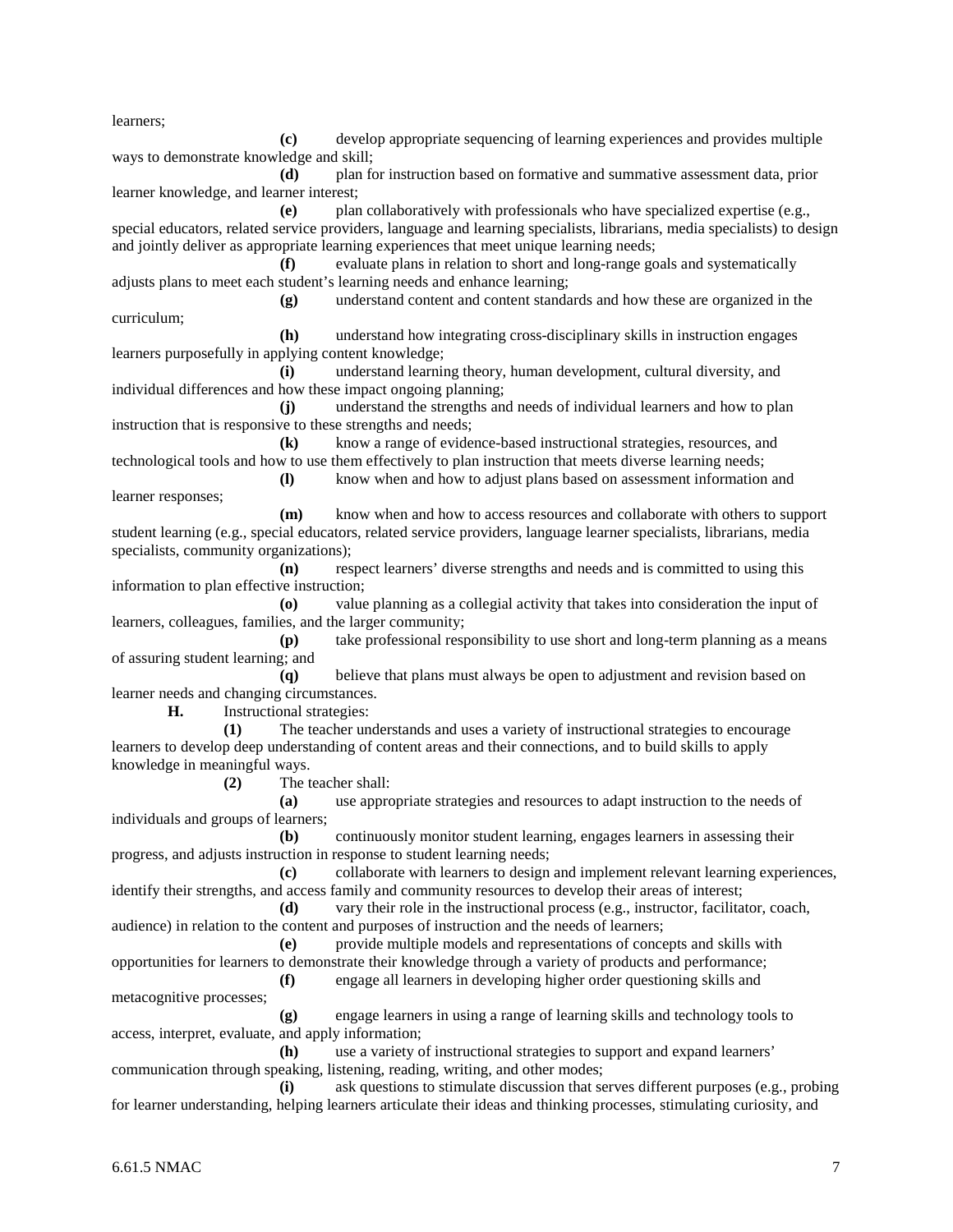learners;

**(c)** develop appropriate sequencing of learning experiences and provides multiple ways to demonstrate knowledge and skill; **(d)** plan for instruction based on formative and summative assessment data, prior learner knowledge, and learner interest; **(e)** plan collaboratively with professionals who have specialized expertise (e.g., special educators, related service providers, language and learning specialists, librarians, media specialists) to design and jointly deliver as appropriate learning experiences that meet unique learning needs; **(f)** evaluate plans in relation to short and long-range goals and systematically adjusts plans to meet each student's learning needs and enhance learning; **(g)** understand content and content standards and how these are organized in the curriculum; **(h)** understand how integrating cross-disciplinary skills in instruction engages learners purposefully in applying content knowledge; **(i)** understand learning theory, human development, cultural diversity, and individual differences and how these impact ongoing planning; **(j)** understand the strengths and needs of individual learners and how to plan instruction that is responsive to these strengths and needs; **(k)** know a range of evidence-based instructional strategies, resources, and technological tools and how to use them effectively to plan instruction that meets diverse learning needs; **(l)** know when and how to adjust plans based on assessment information and learner responses; **(m)** know when and how to access resources and collaborate with others to support student learning (e.g., special educators, related service providers, language learner specialists, librarians, media specialists, community organizations); **(n)** respect learners' diverse strengths and needs and is committed to using this information to plan effective instruction; **(o)** value planning as a collegial activity that takes into consideration the input of learners, colleagues, families, and the larger community; **(p)** take professional responsibility to use short and long-term planning as a means of assuring student learning; and **(q)** believe that plans must always be open to adjustment and revision based on learner needs and changing circumstances. **H.** Instructional strategies: **(1)** The teacher understands and uses a variety of instructional strategies to encourage learners to develop deep understanding of content areas and their connections, and to build skills to apply knowledge in meaningful ways. **(2)** The teacher shall: **(a)** use appropriate strategies and resources to adapt instruction to the needs of individuals and groups of learners; **(b)** continuously monitor student learning, engages learners in assessing their progress, and adjusts instruction in response to student learning needs; **(c)** collaborate with learners to design and implement relevant learning experiences, identify their strengths, and access family and community resources to develop their areas of interest; **(d)** vary their role in the instructional process (e.g., instructor, facilitator, coach, audience) in relation to the content and purposes of instruction and the needs of learners; **(e)** provide multiple models and representations of concepts and skills with opportunities for learners to demonstrate their knowledge through a variety of products and performance; **(f)** engage all learners in developing higher order questioning skills and metacognitive processes; **(g)** engage learners in using a range of learning skills and technology tools to access, interpret, evaluate, and apply information; **(h)** use a variety of instructional strategies to support and expand learners' communication through speaking, listening, reading, writing, and other modes; **(i)** ask questions to stimulate discussion that serves different purposes (e.g., probing for learner understanding, helping learners articulate their ideas and thinking processes, stimulating curiosity, and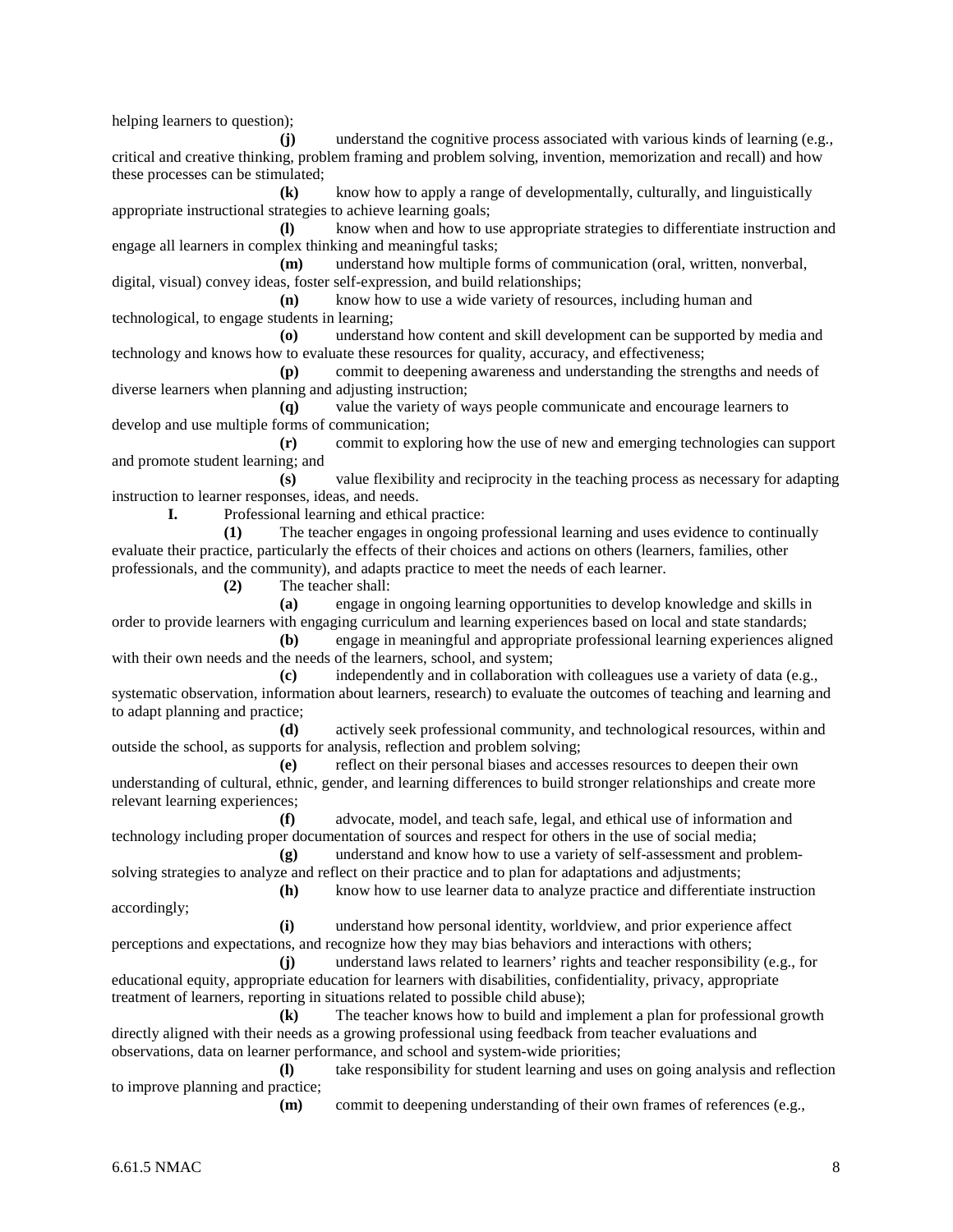helping learners to question);

**(j)** understand the cognitive process associated with various kinds of learning (e.g., critical and creative thinking, problem framing and problem solving, invention, memorization and recall) and how these processes can be stimulated;

**(k)** know how to apply a range of developmentally, culturally, and linguistically appropriate instructional strategies to achieve learning goals;

**(l)** know when and how to use appropriate strategies to differentiate instruction and engage all learners in complex thinking and meaningful tasks;

**(m)** understand how multiple forms of communication (oral, written, nonverbal, digital, visual) convey ideas, foster self-expression, and build relationships;

**(n)** know how to use a wide variety of resources, including human and technological, to engage students in learning;

**(o)** understand how content and skill development can be supported by media and technology and knows how to evaluate these resources for quality, accuracy, and effectiveness;

**(p)** commit to deepening awareness and understanding the strengths and needs of diverse learners when planning and adjusting instruction;

**(q)** value the variety of ways people communicate and encourage learners to develop and use multiple forms of communication;

**(r)** commit to exploring how the use of new and emerging technologies can support and promote student learning; and

**(s)** value flexibility and reciprocity in the teaching process as necessary for adapting instruction to learner responses, ideas, and needs.

**I.** Professional learning and ethical practice:

**(1)** The teacher engages in ongoing professional learning and uses evidence to continually evaluate their practice, particularly the effects of their choices and actions on others (learners, families, other professionals, and the community), and adapts practice to meet the needs of each learner.

**(2)** The teacher shall:

**(a)** engage in ongoing learning opportunities to develop knowledge and skills in order to provide learners with engaging curriculum and learning experiences based on local and state standards;

**(b)** engage in meaningful and appropriate professional learning experiences aligned with their own needs and the needs of the learners, school, and system;

**(c)** independently and in collaboration with colleagues use a variety of data (e.g., systematic observation, information about learners, research) to evaluate the outcomes of teaching and learning and to adapt planning and practice;

**(d)** actively seek professional community, and technological resources, within and outside the school, as supports for analysis, reflection and problem solving;

**(e)** reflect on their personal biases and accesses resources to deepen their own understanding of cultural, ethnic, gender, and learning differences to build stronger relationships and create more relevant learning experiences;

**(f)** advocate, model, and teach safe, legal, and ethical use of information and technology including proper documentation of sources and respect for others in the use of social media;

**(g)** understand and know how to use a variety of self-assessment and problemsolving strategies to analyze and reflect on their practice and to plan for adaptations and adjustments;

**(h)** know how to use learner data to analyze practice and differentiate instruction accordingly;

**(i)** understand how personal identity, worldview, and prior experience affect perceptions and expectations, and recognize how they may bias behaviors and interactions with others;

**(j)** understand laws related to learners' rights and teacher responsibility (e.g., for educational equity, appropriate education for learners with disabilities, confidentiality, privacy, appropriate treatment of learners, reporting in situations related to possible child abuse);

**(k)** The teacher knows how to build and implement a plan for professional growth directly aligned with their needs as a growing professional using feedback from teacher evaluations and observations, data on learner performance, and school and system-wide priorities;

**(l)** take responsibility for student learning and uses on going analysis and reflection to improve planning and practice;

**(m)** commit to deepening understanding of their own frames of references (e.g.,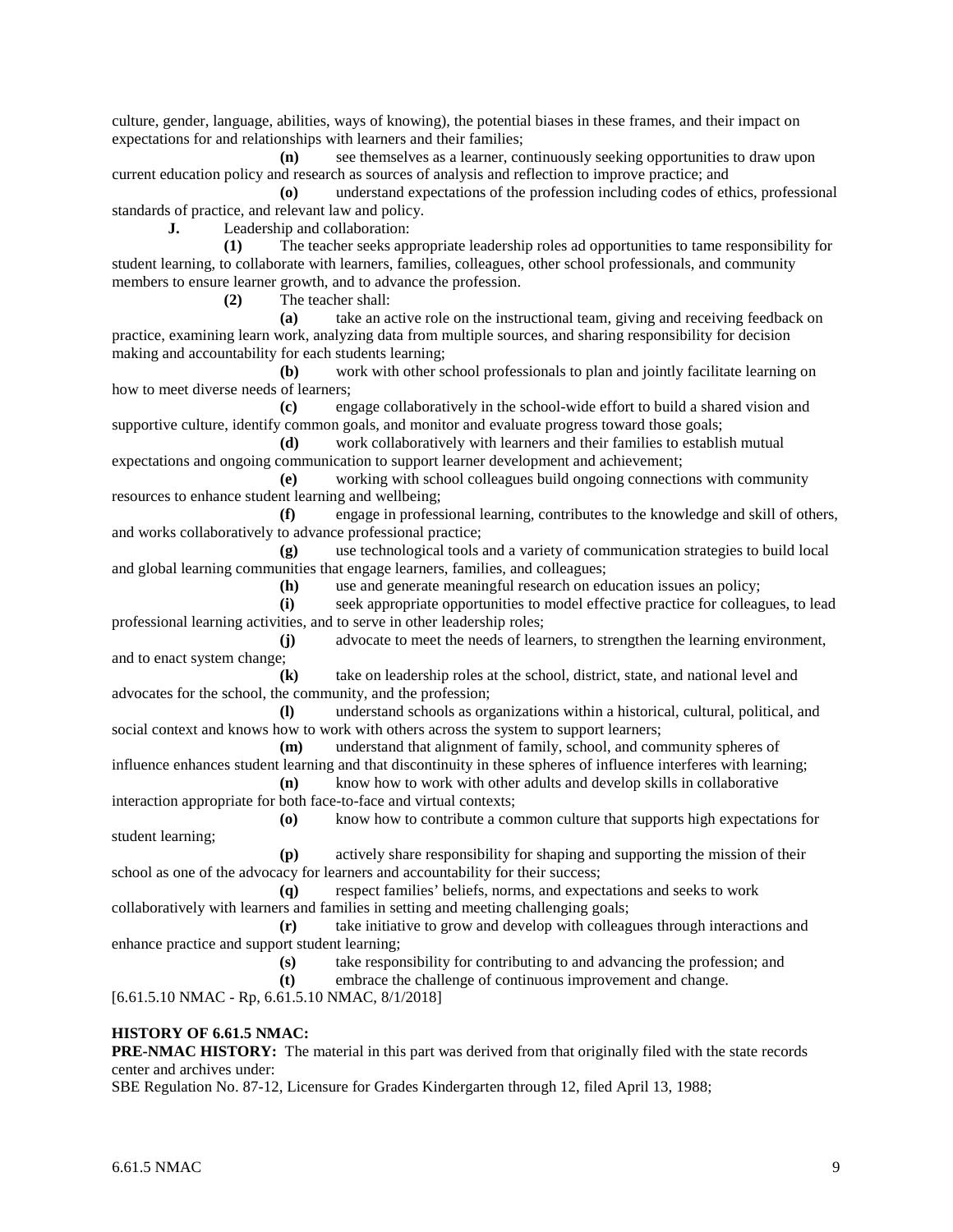culture, gender, language, abilities, ways of knowing), the potential biases in these frames, and their impact on expectations for and relationships with learners and their families;

**(n)** see themselves as a learner, continuously seeking opportunities to draw upon current education policy and research as sources of analysis and reflection to improve practice; and

**(o)** understand expectations of the profession including codes of ethics, professional standards of practice, and relevant law and policy.

**J.** Leadership and collaboration:

**(1)** The teacher seeks appropriate leadership roles ad opportunities to tame responsibility for student learning, to collaborate with learners, families, colleagues, other school professionals, and community members to ensure learner growth, and to advance the profession.

**(2)** The teacher shall:

**(a)** take an active role on the instructional team, giving and receiving feedback on practice, examining learn work, analyzing data from multiple sources, and sharing responsibility for decision making and accountability for each students learning;

**(b)** work with other school professionals to plan and jointly facilitate learning on how to meet diverse needs of learners;

**(c)** engage collaboratively in the school-wide effort to build a shared vision and supportive culture, identify common goals, and monitor and evaluate progress toward those goals;

**(d)** work collaboratively with learners and their families to establish mutual expectations and ongoing communication to support learner development and achievement;

**(e)** working with school colleagues build ongoing connections with community resources to enhance student learning and wellbeing;

**(f)** engage in professional learning, contributes to the knowledge and skill of others, and works collaboratively to advance professional practice;

**(g)** use technological tools and a variety of communication strategies to build local and global learning communities that engage learners, families, and colleagues;

**(h)** use and generate meaningful research on education issues an policy;

**(i)** seek appropriate opportunities to model effective practice for colleagues, to lead professional learning activities, and to serve in other leadership roles;

**(j)** advocate to meet the needs of learners, to strengthen the learning environment, and to enact system change;

**(k)** take on leadership roles at the school, district, state, and national level and advocates for the school, the community, and the profession;

**(l)** understand schools as organizations within a historical, cultural, political, and social context and knows how to work with others across the system to support learners;

**(m)** understand that alignment of family, school, and community spheres of influence enhances student learning and that discontinuity in these spheres of influence interferes with learning;

**(n)** know how to work with other adults and develop skills in collaborative interaction appropriate for both face-to-face and virtual contexts;

**(o)** know how to contribute a common culture that supports high expectations for student learning;

**(p)** actively share responsibility for shaping and supporting the mission of their school as one of the advocacy for learners and accountability for their success;

**(q)** respect families' beliefs, norms, and expectations and seeks to work collaboratively with learners and families in setting and meeting challenging goals;

**(r)** take initiative to grow and develop with colleagues through interactions and enhance practice and support student learning;

**(s)** take responsibility for contributing to and advancing the profession; and

**(t)** embrace the challenge of continuous improvement and change.

[6.61.5.10 NMAC - Rp, 6.61.5.10 NMAC, 8/1/2018]

## **HISTORY OF 6.61.5 NMAC:**

**PRE-NMAC HISTORY:** The material in this part was derived from that originally filed with the state records center and archives under:

SBE Regulation No. 87-12, Licensure for Grades Kindergarten through 12, filed April 13, 1988;